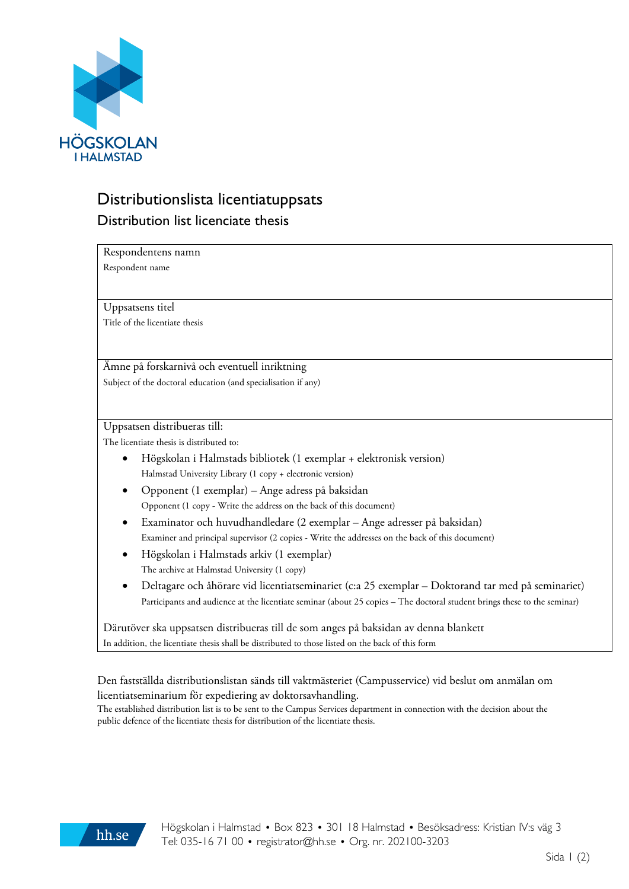

## Distributionslista licentiatuppsats Distribution list licenciate thesis

Respondentens namn Respondent name

Uppsatsens titel

Title of the licentiate thesis

Ämne på forskarnivå och eventuell inriktning Subject of the doctoral education (and specialisation if any)

Uppsatsen distribueras till:

The licentiate thesis is distributed to:

- Högskolan i Halmstads bibliotek (1 exemplar + elektronisk version) Halmstad University Library (1 copy + electronic version)
- Opponent (1 exemplar) Ange adress på baksidan Opponent (1 copy - Write the address on the back of this document)
- Examinator och huvudhandledare (2 exemplar Ange adresser på baksidan) Examiner and principal supervisor (2 copies - Write the addresses on the back of this document)
- Högskolan i Halmstads arkiv (1 exemplar) The archive at Halmstad University (1 copy)
- Deltagare och åhörare vid licentiatseminariet (c:a 25 exemplar Doktorand tar med på seminariet) Participants and audience at the licentiate seminar (about 25 copies – The doctoral student brings these to the seminar)

Därutöver ska uppsatsen distribueras till de som anges på baksidan av denna blankett In addition, the licentiate thesis shall be distributed to those listed on the back of this form

## Den fastställda distributionslistan sänds till vaktmästeriet (Campusservice) vid beslut om anmälan om licentiatseminarium för expediering av doktorsavhandling.

The established distribution list is to be sent to the Campus Services department in connection with the decision about the public defence of the licentiate thesis for distribution of the licentiate thesis.